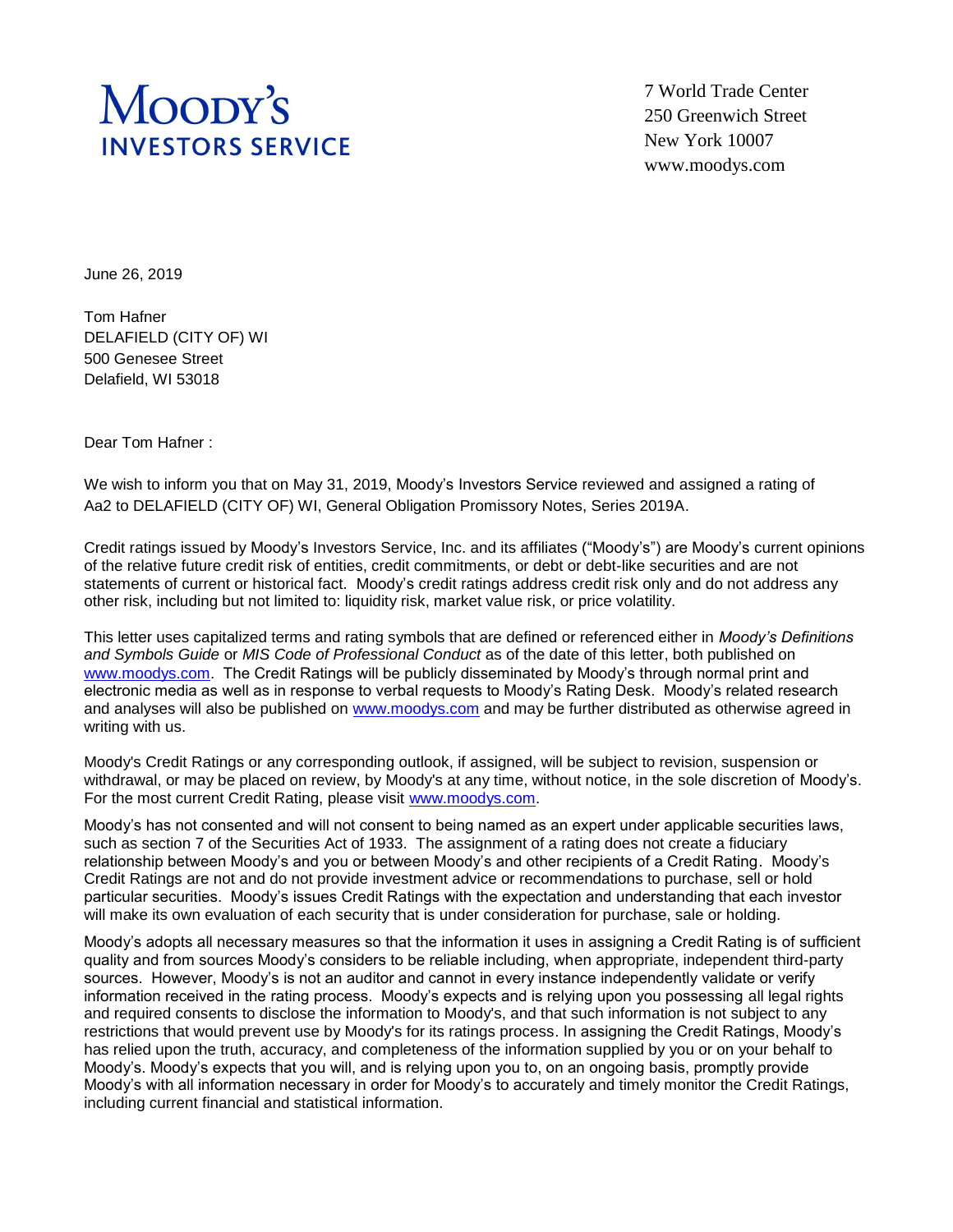## Moopy's **INVESTORS SERVICE**

7 World Trade Center 250 Greenwich Street New York 10007 www.moodys.com

June 26, 2019

Tom Hafner DELAFIELD (CITY OF) WI 500 Genesee Street Delafield, WI 53018

Dear Tom Hafner :

We wish to inform you that on May 31, 2019, Moody's Investors Service reviewed and assigned a rating of Aa2 to DELAFIELD (CITY OF) WI, General Obligation Promissory Notes, Series 2019A.

Credit ratings issued by Moody's Investors Service, Inc. and its affiliates ("Moody's") are Moody's current opinions of the relative future credit risk of entities, credit commitments, or debt or debt-like securities and are not statements of current or historical fact. Moody's credit ratings address credit risk only and do not address any other risk, including but not limited to: liquidity risk, market value risk, or price volatility.

This letter uses capitalized terms and rating symbols that are defined or referenced either in *Moody's Definitions and Symbols Guide* or *MIS Code of Professional Conduct* as of the date of this letter, both published on [www.moodys.com.](http://www.moodys.com/) The Credit Ratings will be publicly disseminated by Moody's through normal print and electronic media as well as in response to verbal requests to Moody's Rating Desk. Moody's related research and analyses will also be published on [www.moodys.com](http://www.moodys.com/) and may be further distributed as otherwise agreed in writing with us.

Moody's Credit Ratings or any corresponding outlook, if assigned, will be subject to revision, suspension or withdrawal, or may be placed on review, by Moody's at any time, without notice, in the sole discretion of Moody's. For the most current Credit Rating, please visit [www.moodys.com.](http://www.moodys.com/)

Moody's has not consented and will not consent to being named as an expert under applicable securities laws, such as section 7 of the Securities Act of 1933. The assignment of a rating does not create a fiduciary relationship between Moody's and you or between Moody's and other recipients of a Credit Rating. Moody's Credit Ratings are not and do not provide investment advice or recommendations to purchase, sell or hold particular securities. Moody's issues Credit Ratings with the expectation and understanding that each investor will make its own evaluation of each security that is under consideration for purchase, sale or holding.

Moody's adopts all necessary measures so that the information it uses in assigning a Credit Rating is of sufficient quality and from sources Moody's considers to be reliable including, when appropriate, independent third-party sources. However, Moody's is not an auditor and cannot in every instance independently validate or verify information received in the rating process. Moody's expects and is relying upon you possessing all legal rights and required consents to disclose the information to Moody's, and that such information is not subject to any restrictions that would prevent use by Moody's for its ratings process. In assigning the Credit Ratings, Moody's has relied upon the truth, accuracy, and completeness of the information supplied by you or on your behalf to Moody's. Moody's expects that you will, and is relying upon you to, on an ongoing basis, promptly provide Moody's with all information necessary in order for Moody's to accurately and timely monitor the Credit Ratings, including current financial and statistical information.